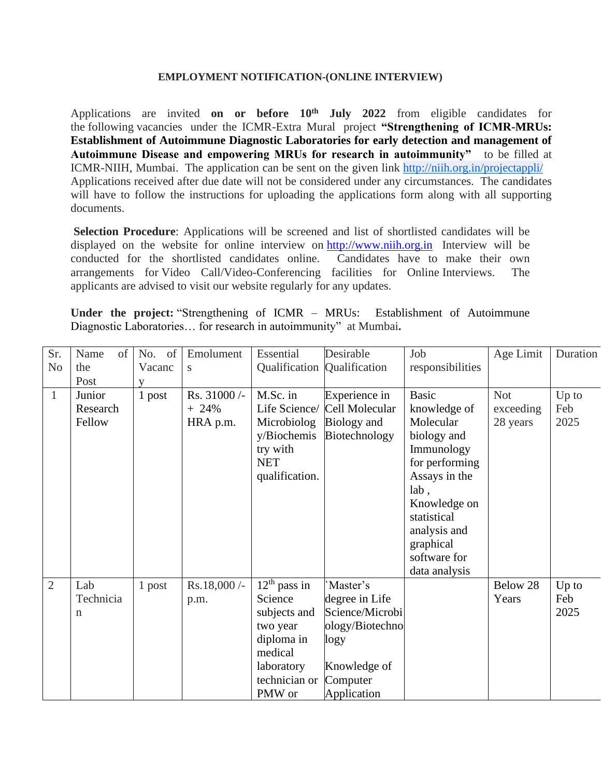## **EMPLOYMENT NOTIFICATION-(ONLINE INTERVIEW)**

Applications are invited **on or before 10th July 2022** from eligible candidates for the following vacancies under the ICMR-Extra Mural project **"Strengthening of ICMR-MRUs: Establishment of Autoimmune Diagnostic Laboratories for early detection and management of Autoimmune Disease and empowering MRUs for research in autoimmunity"** to be filled at ICMR-NIIH, Mumbai. The application can be sent on the given link <http://niih.org.in/projectappli/> Applications received after due date will not be considered under any circumstances. The candidates will have to follow the instructions for uploading the applications form along with all supporting documents.

**Selection Procedure**: Applications will be screened and list of shortlisted candidates will be displayed on the website for online interview on [http://www.niih.org.in](http://www.niih.org.in/) Interview will be conducted for the shortlisted candidates online. Candidates have to make their own arrangements for Video Call/Video-Conferencing facilities for Online Interviews. The applicants are advised to visit our website regularly for any updates.

**Under the project:** "Strengthening of ICMR – MRUs: Establishment of Autoimmune Diagnostic Laboratories… for research in autoimmunity" at Mumbai**.**

| Sr.            | Name<br>of  | No. of | Emolument     | Essential      | Desirable                   | Job              | Age Limit  | Duration |
|----------------|-------------|--------|---------------|----------------|-----------------------------|------------------|------------|----------|
| N <sub>0</sub> | the         | Vacanc | S             |                | Qualification Qualification | responsibilities |            |          |
|                | Post        | V      |               |                |                             |                  |            |          |
| $\mathbf{1}$   | Junior      | 1 post | Rs. 31000/-   | M.Sc. in       | Experience in               | <b>Basic</b>     | <b>Not</b> | Up to    |
|                | Research    |        | $+24\%$       | Life Science/  | Cell Molecular              | knowledge of     | exceeding  | Feb      |
|                | Fellow      |        | HRA p.m.      | Microbiolog    | Biology and                 | Molecular        | 28 years   | 2025     |
|                |             |        |               | y/Biochemis    | Biotechnology               | biology and      |            |          |
|                |             |        |               | try with       |                             | Immunology       |            |          |
|                |             |        |               | <b>NET</b>     |                             | for performing   |            |          |
|                |             |        |               | qualification. |                             | Assays in the    |            |          |
|                |             |        |               |                |                             | lab,             |            |          |
|                |             |        |               |                |                             | Knowledge on     |            |          |
|                |             |        |               |                |                             | statistical      |            |          |
|                |             |        |               |                |                             | analysis and     |            |          |
|                |             |        |               |                |                             | graphical        |            |          |
|                |             |        |               |                |                             | software for     |            |          |
|                |             |        |               |                |                             | data analysis    |            |          |
| $\overline{2}$ | Lab         | 1 post | $Rs.18,000/-$ | $12th$ pass in | Master's                    |                  | Below 28   | $Up$ to  |
|                | Technicia   |        | p.m.          | Science        | degree in Life              |                  | Years      | Feb      |
|                | $\mathbf n$ |        |               | subjects and   | Science/Microbi             |                  |            | 2025     |
|                |             |        |               | two year       | ology/Biotechno             |                  |            |          |
|                |             |        |               | diploma in     | logy                        |                  |            |          |
|                |             |        |               | medical        |                             |                  |            |          |
|                |             |        |               | laboratory     | Knowledge of                |                  |            |          |
|                |             |        |               | technician or  | Computer                    |                  |            |          |
|                |             |        |               | PMW or         | Application                 |                  |            |          |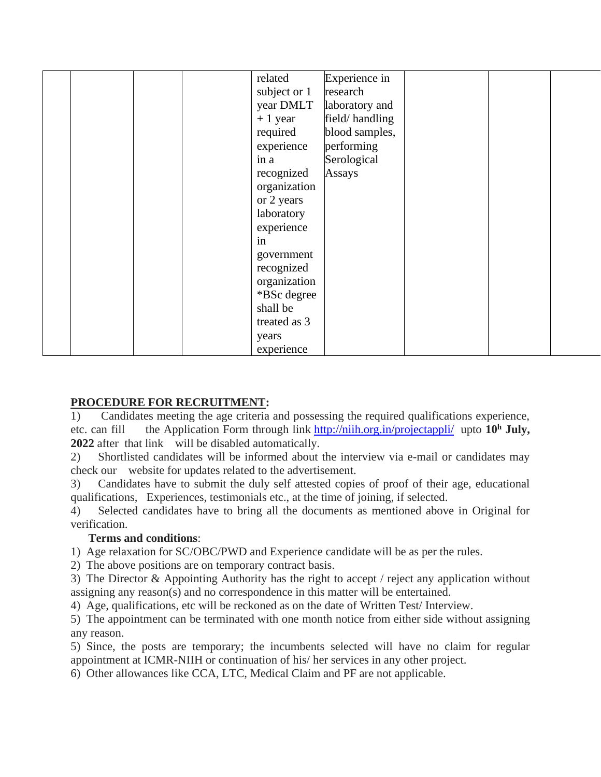|  |  | related      | Experience in  |  |  |
|--|--|--------------|----------------|--|--|
|  |  | subject or 1 | research       |  |  |
|  |  | year DMLT    | laboratory and |  |  |
|  |  | $+1$ year    | field/handling |  |  |
|  |  | required     | blood samples, |  |  |
|  |  | experience   | performing     |  |  |
|  |  | in a         | Serological    |  |  |
|  |  | recognized   | Assays         |  |  |
|  |  | organization |                |  |  |
|  |  | or 2 years   |                |  |  |
|  |  | laboratory   |                |  |  |
|  |  | experience   |                |  |  |
|  |  | in           |                |  |  |
|  |  | government   |                |  |  |
|  |  | recognized   |                |  |  |
|  |  | organization |                |  |  |
|  |  | *BSc degree  |                |  |  |
|  |  | shall be     |                |  |  |
|  |  | treated as 3 |                |  |  |
|  |  | years        |                |  |  |
|  |  | experience   |                |  |  |

## **PROCEDURE FOR RECRUITMENT:**

1) Candidates meeting the age criteria and possessing the required qualifications experience, etc. can fill the Application Form through link <http://niih.org.in/projectappli/> upto **10<sup>h</sup> July, 2022** after that link will be disabled automatically.

2) Shortlisted candidates will be informed about the interview via e-mail or candidates may check our website for updates related to the advertisement.

3) Candidates have to submit the duly self attested copies of proof of their age, educational qualifications, Experiences, testimonials etc., at the time of joining, if selected.

4) Selected candidates have to bring all the documents as mentioned above in Original for verification.

## **Terms and conditions**:

1) Age relaxation for SC/OBC/PWD and Experience candidate will be as per the rules.

2) The above positions are on temporary contract basis.

3) The Director & Appointing Authority has the right to accept / reject any application without assigning any reason(s) and no correspondence in this matter will be entertained.

4) Age, qualifications, etc will be reckoned as on the date of Written Test/ Interview.

5) The appointment can be terminated with one month notice from either side without assigning any reason.

5) Since, the posts are temporary; the incumbents selected will have no claim for regular appointment at ICMR-NIIH or continuation of his/ her services in any other project.

6) Other allowances like CCA, LTC, Medical Claim and PF are not applicable.